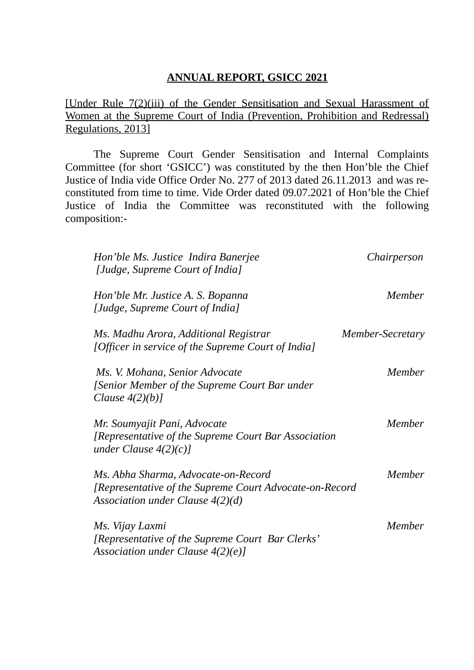#### **ANNUAL REPORT, GSICC 2021**

[Under Rule 7(2)(iii) of the Gender Sensitisation and Sexual Harassment of Women at the Supreme Court of India (Prevention, Prohibition and Redressal) Regulations, 2013]

The Supreme Court Gender Sensitisation and Internal Complaints Committee (for short 'GSICC') was constituted by the then Hon'ble the Chief Justice of India vide Office Order No. 277 of 2013 dated 26.11.2013 and was reconstituted from time to time. Vide Order dated 09.07.2021 of Hon'ble the Chief Justice of India the Committee was reconstituted with the following composition:-

| Hon'ble Ms. Justice Indira Banerjee<br>[Judge, Supreme Court of India]                                                               | Chairperson      |
|--------------------------------------------------------------------------------------------------------------------------------------|------------------|
| Hon'ble Mr. Justice A. S. Bopanna<br>[Judge, Supreme Court of India]                                                                 | Member           |
| Ms. Madhu Arora, Additional Registrar<br>[Officer in service of the Supreme Court of India]                                          | Member-Secretary |
| Ms. V. Mohana, Senior Advocate<br>[Senior Member of the Supreme Court Bar under<br>Clause $4(2)(b)$ ]                                | <b>Member</b>    |
| Mr. Soumyajit Pani, Advocate<br>[Representative of the Supreme Court Bar Association<br>under Clause $4(2)(c)$ ]                     | Member           |
| Ms. Abha Sharma, Advocate-on-Record<br>[Representative of the Supreme Court Advocate-on-Record<br>Association under Clause $4(2)(d)$ | <b>Member</b>    |
| Ms. Vijay Laxmi<br>[Representative of the Supreme Court Bar Clerks'<br>Association under Clause $4(2)(e)$ ]                          | <b>Member</b>    |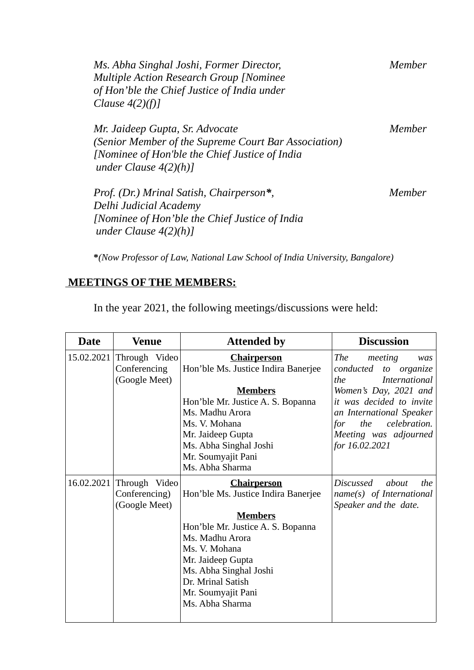| Ms. Abha Singhal Joshi, Former Director,<br><b>Multiple Action Research Group [Nominee</b><br>of Hon'ble the Chief Justice of India under<br>Clause $4(2)(f)$ ]       | Member |
|-----------------------------------------------------------------------------------------------------------------------------------------------------------------------|--------|
| Mr. Jaideep Gupta, Sr. Advocate<br>(Senior Member of the Supreme Court Bar Association)<br>[Nominee of Hon'ble the Chief Justice of India<br>under Clause $4(2)(h)$ ] | Member |
| Prof. (Dr.) Mrinal Satish, Chairperson*,<br>Delhi Judicial Academy<br>[Nominee of Hon'ble the Chief Justice of India]<br>under Clause $4(2)(h)$ ]                     | Member |

**\****(Now Professor of Law, National Law School of India University, Bangalore)*

# **MEETINGS OF THE MEMBERS:**

In the year 2021, the following meetings/discussions were held:

| <b>Date</b> | Venue                                                     | <b>Attended by</b>                                                                                                                                                                                                                                                | <b>Discussion</b>                                                                                                                                      |
|-------------|-----------------------------------------------------------|-------------------------------------------------------------------------------------------------------------------------------------------------------------------------------------------------------------------------------------------------------------------|--------------------------------------------------------------------------------------------------------------------------------------------------------|
|             | 15.02.2021 Through Video<br>Conferencing<br>(Google Meet) | <b>Chairperson</b><br>Hon'ble Ms. Justice Indira Banerjee                                                                                                                                                                                                         | <b>The</b><br>meeting<br>was<br>conducted<br>to organize<br><b>International</b><br>the                                                                |
|             |                                                           | <b>Members</b><br>Hon'ble Mr. Justice A. S. Bopanna<br>Ms. Madhu Arora<br>Ms. V. Mohana<br>Mr. Jaideep Gupta<br>Ms. Abha Singhal Joshi<br>Mr. Soumyajit Pani<br>Ms. Abha Sharma                                                                                   | Women's Day, 2021 and<br>it was decided to invite<br>an International Speaker<br>the<br>celebration.<br>for<br>Meeting was adjourned<br>for 16.02.2021 |
| 16.02.2021  | Through Video<br>Conferencing)<br>(Google Meet)           | <b>Chairperson</b><br>Hon'ble Ms. Justice Indira Banerjee<br><b>Members</b><br>Hon'ble Mr. Justice A. S. Bopanna<br>Ms. Madhu Arora<br>Ms. V. Mohana<br>Mr. Jaideep Gupta<br>Ms. Abha Singhal Joshi<br>Dr. Mrinal Satish<br>Mr. Soumyajit Pani<br>Ms. Abha Sharma | Discussed<br>about<br>the<br>name(s) of International<br>Speaker and the date.                                                                         |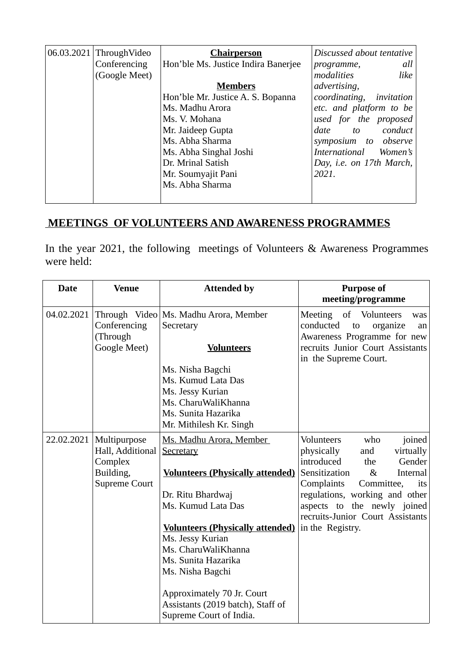| 06.03.2021 ThroughVideo | <b>Chairperson</b>                  | Discussed about tentative   |
|-------------------------|-------------------------------------|-----------------------------|
| Conferencing            | Hon'ble Ms. Justice Indira Banerjee | all<br>programme,           |
| (Google Meet)           |                                     | like<br>modalities          |
|                         | <b>Members</b>                      | advertising,                |
|                         | Hon'ble Mr. Justice A. S. Bopanna   | coordinating,<br>invitation |
|                         | Ms. Madhu Arora                     | etc. and platform to be     |
|                         | Ms. V. Mohana                       | used for the proposed       |
|                         | Mr. Jaideep Gupta                   | date to conduct             |
|                         | Ms. Abha Sharma                     | symposium to observe        |
|                         | Ms. Abha Singhal Joshi              | International Women's       |
|                         | Dr. Mrinal Satish                   | Day, i.e. on 17th March,    |
|                         | Mr. Soumyajit Pani                  | 2021.                       |
|                         | Ms. Abha Sharma                     |                             |
|                         |                                     |                             |

# **MEETINGS OF VOLUNTEERS AND AWARENESS PROGRAMMES**

In the year 2021, the following meetings of Volunteers & Awareness Programmes were held:

| <b>Date</b> | <b>Venue</b>                | <b>Attended by</b>                                            | <b>Purpose of</b><br>meeting/programme                                                           |
|-------------|-----------------------------|---------------------------------------------------------------|--------------------------------------------------------------------------------------------------|
|             | Conferencing<br>(Through    | 04.02.2021 Through Video Ms. Madhu Arora, Member<br>Secretary | Meeting of Volunteers<br>was<br>conducted<br>organize<br>to<br>an<br>Awareness Programme for new |
|             | Google Meet)                | <b>Volunteers</b>                                             | recruits Junior Court Assistants                                                                 |
|             |                             |                                                               | in the Supreme Court.                                                                            |
|             |                             | Ms. Nisha Bagchi                                              |                                                                                                  |
|             |                             | Ms. Kumud Lata Das                                            |                                                                                                  |
|             |                             | Ms. Jessy Kurian                                              |                                                                                                  |
|             |                             | Ms. CharuWaliKhanna<br>Ms. Sunita Hazarika                    |                                                                                                  |
|             |                             | Mr. Mithilesh Kr. Singh                                       |                                                                                                  |
|             |                             |                                                               |                                                                                                  |
|             | 22.02.2021   Multipurpose   | Ms. Madhu Arora, Member                                       | Volunteers<br>who<br>joined                                                                      |
|             | Hall, Additional<br>Complex | <b>Secretary</b>                                              | physically<br>virtually<br>and<br>introduced<br>Gender<br>the                                    |
|             | Building,                   | <b>Volunteers (Physically attended)</b>                       | Sensitization<br>$\&$<br><b>Internal</b>                                                         |
|             | <b>Supreme Court</b>        |                                                               | Complaints<br>Committee,<br>its                                                                  |
|             |                             | Dr. Ritu Bhardwaj                                             | regulations, working and other                                                                   |
|             |                             | Ms. Kumud Lata Das                                            | aspects to the newly joined                                                                      |
|             |                             |                                                               | recruits-Junior Court Assistants                                                                 |
|             |                             | <b>Volunteers (Physically attended)</b>                       | in the Registry.                                                                                 |
|             |                             | Ms. Jessy Kurian                                              |                                                                                                  |
|             |                             | Ms. CharuWaliKhanna<br>Ms. Sunita Hazarika                    |                                                                                                  |
|             |                             | Ms. Nisha Bagchi                                              |                                                                                                  |
|             |                             |                                                               |                                                                                                  |
|             |                             | Approximately 70 Jr. Court                                    |                                                                                                  |
|             |                             | Assistants (2019 batch), Staff of<br>Supreme Court of India.  |                                                                                                  |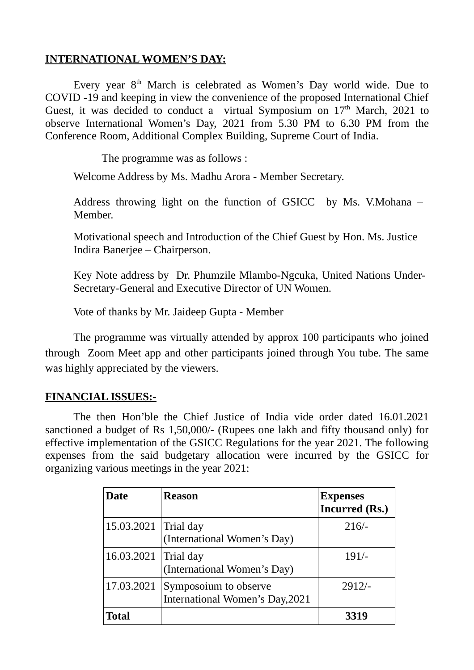#### **INTERNATIONAL WOMEN'S DAY:**

Every year  $8<sup>th</sup>$  March is celebrated as Women's Day world wide. Due to COVID -19 and keeping in view the convenience of the proposed International Chief Guest, it was decided to conduct a virtual Symposium on  $17<sup>th</sup>$  March, 2021 to observe International Women's Day, 2021 from 5.30 PM to 6.30 PM from the Conference Room, Additional Complex Building, Supreme Court of India.

The programme was as follows :

Welcome Address by Ms. Madhu Arora - Member Secretary.

Address throwing light on the function of GSICC by Ms. V.Mohana – Member.

Motivational speech and Introduction of the Chief Guest by Hon. Ms. Justice Indira Banerjee – Chairperson.

Key Note address by Dr. Phumzile Mlambo-Ngcuka, United Nations Under-Secretary-General and Executive Director of UN Women.

Vote of thanks by Mr. Jaideep Gupta - Member

The programme was virtually attended by approx 100 participants who joined through Zoom Meet app and other participants joined through You tube. The same was highly appreciated by the viewers.

## **FINANCIAL ISSUES:-**

The then Hon'ble the Chief Justice of India vide order dated 16.01.2021 sanctioned a budget of Rs 1,50,000/- (Rupees one lakh and fifty thousand only) for effective implementation of the GSICC Regulations for the year 2021. The following expenses from the said budgetary allocation were incurred by the GSICC for organizing various meetings in the year 2021:

| <b>Date</b>  | <b>Reason</b>                                            | <b>Expenses</b><br><b>Incurred (Rs.)</b> |
|--------------|----------------------------------------------------------|------------------------------------------|
| 15.03.2021   | Trial day<br>(International Women's Day)                 | $216/-$                                  |
| 16.03.2021   | Trial day<br>(International Women's Day)                 | $191/-$                                  |
| 17.03.2021   | Symposoium to observe<br>International Women's Day, 2021 | $2912/-$                                 |
| <b>Total</b> |                                                          | 3319                                     |